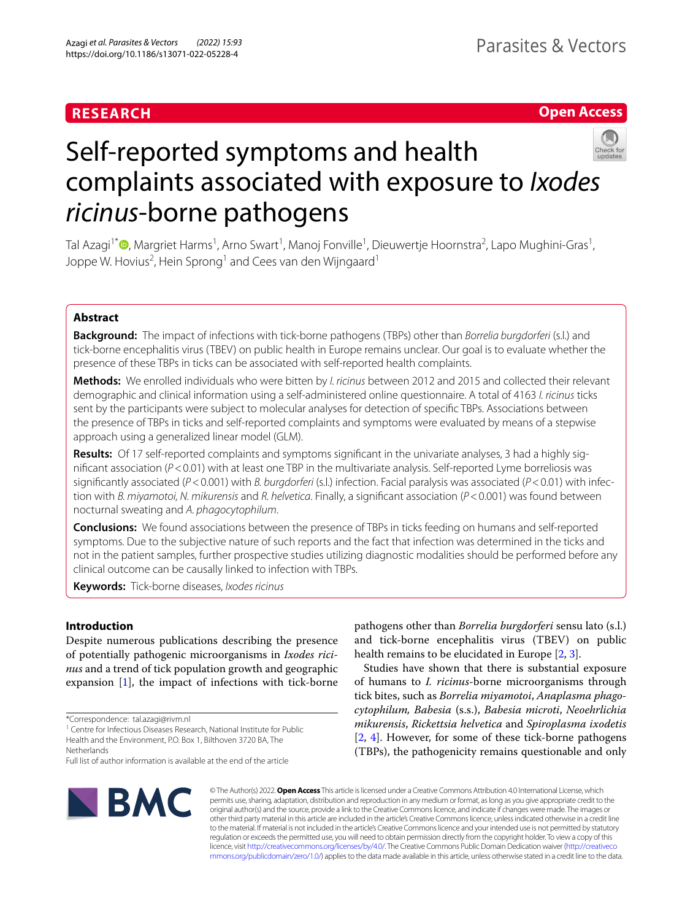# **RESEARCH**

# **Open Access**



# Self-reported symptoms and health complaints associated with exposure to *Ixodes ricinus*-borne pathogens

Tal Azagi<sup>1\*</sup>®[,](http://orcid.org/0000-0001-8889-5854) Margriet Harms<sup>1</sup>, Arno Swart<sup>1</sup>, Manoj Fonville<sup>1</sup>, Dieuwertje Hoornstra<sup>2</sup>, Lapo Mughini-Gras<sup>1</sup>, Joppe W. Hovius<sup>2</sup>, Hein Sprong<sup>1</sup> and Cees van den Wijngaard<sup>1</sup>

# **Abstract**

**Background:** The impact of infections with tick-borne pathogens (TBPs) other than *Borrelia burgdorferi* (s.l.) and tick-borne encephalitis virus (TBEV) on public health in Europe remains unclear. Our goal is to evaluate whether the presence of these TBPs in ticks can be associated with self-reported health complaints.

**Methods:** We enrolled individuals who were bitten by *I. ricinus* between 2012 and 2015 and collected their relevant demographic and clinical information using a self-administered online questionnaire. A total of 4163 *I. ricinus* ticks sent by the participants were subject to molecular analyses for detection of specifc TBPs. Associations between the presence of TBPs in ticks and self-reported complaints and symptoms were evaluated by means of a stepwise approach using a generalized linear model (GLM).

Results: Of 17 self-reported complaints and symptoms significant in the univariate analyses, 3 had a highly signifcant association (*P*<0.01) with at least one TBP in the multivariate analysis. Self-reported Lyme borreliosis was significantly associated (*P*<0.001) with *B. burgdorferi* (s.l.) infection. Facial paralysis was associated (*P*<0.01) with infection with *B. miyamotoi, N. mikurensis* and *R. helvetica*. Finally, a signifcant association (*P*<0.001) was found between nocturnal sweating and *A. phagocytophilum*.

**Conclusions:** We found associations between the presence of TBPs in ticks feeding on humans and self-reported symptoms. Due to the subjective nature of such reports and the fact that infection was determined in the ticks and not in the patient samples, further prospective studies utilizing diagnostic modalities should be performed before any clinical outcome can be causally linked to infection with TBPs.

**Keywords:** Tick-borne diseases, *Ixodes ricinus*

# **Introduction**

Despite numerous publications describing the presence of potentially pathogenic microorganisms in *Ixodes ricinus* and a trend of tick population growth and geographic expansion [\[1](#page-4-0)], the impact of infections with tick-borne



Studies have shown that there is substantial exposure of humans to *I. ricinus*-borne microorganisms through tick bites, such as *Borrelia miyamotoi*, *Anaplasma phagocytophilum, Babesia* (s.s.), *Babesia microti*, *Neoehrlichia mikurensis*, *Rickettsia helvetica* and *Spiroplasma ixodetis* [[2,](#page-4-1) [4](#page-4-3)]. However, for some of these tick-borne pathogens (TBPs), the pathogenicity remains questionable and only



© The Author(s) 2022. **Open Access** This article is licensed under a Creative Commons Attribution 4.0 International License, which permits use, sharing, adaptation, distribution and reproduction in any medium or format, as long as you give appropriate credit to the original author(s) and the source, provide a link to the Creative Commons licence, and indicate if changes were made. The images or other third party material in this article are included in the article's Creative Commons licence, unless indicated otherwise in a credit line to the material. If material is not included in the article's Creative Commons licence and your intended use is not permitted by statutory regulation or exceeds the permitted use, you will need to obtain permission directly from the copyright holder. To view a copy of this licence, visit [http://creativecommons.org/licenses/by/4.0/.](http://creativecommons.org/licenses/by/4.0/) The Creative Commons Public Domain Dedication waiver ([http://creativeco](http://creativecommons.org/publicdomain/zero/1.0/) [mmons.org/publicdomain/zero/1.0/](http://creativecommons.org/publicdomain/zero/1.0/)) applies to the data made available in this article, unless otherwise stated in a credit line to the data.

<sup>\*</sup>Correspondence: tal.azagi@rivm.nl

<sup>&</sup>lt;sup>1</sup> Centre for Infectious Diseases Research, National Institute for Public Health and the Environment, P.O. Box 1, Bilthoven 3720 BA, The **Netherlands** 

Full list of author information is available at the end of the article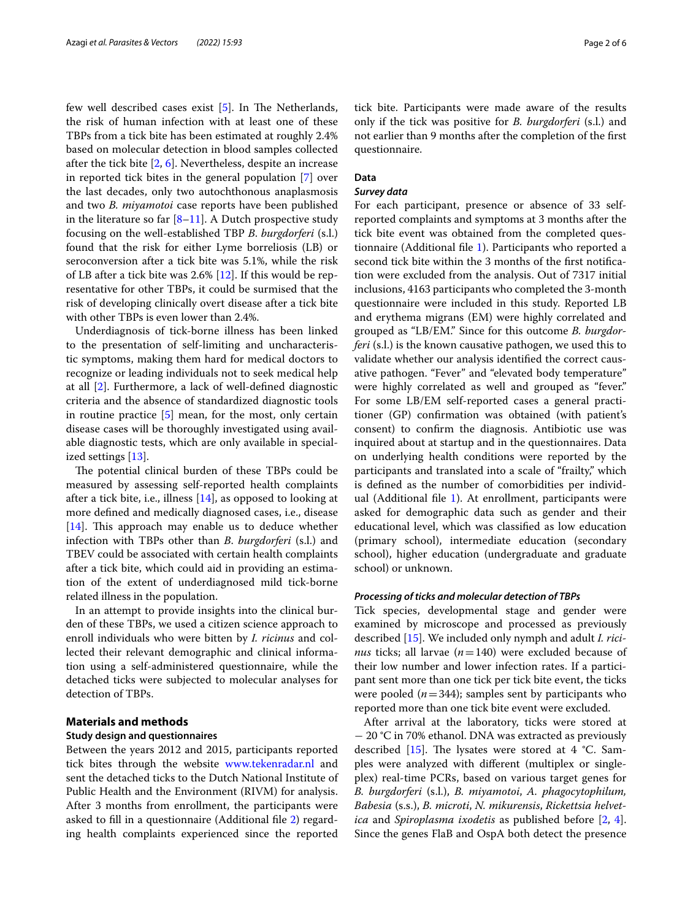few well described cases exist  $[5]$ . In The Netherlands, the risk of human infection with at least one of these TBPs from a tick bite has been estimated at roughly 2.4% based on molecular detection in blood samples collected after the tick bite  $[2, 6]$  $[2, 6]$  $[2, 6]$  $[2, 6]$  $[2, 6]$ . Nevertheless, despite an increase in reported tick bites in the general population [\[7](#page-4-6)] over the last decades, only two autochthonous anaplasmosis and two *B. miyamotoi* case reports have been published in the literature so far  $[8-11]$  $[8-11]$ . A Dutch prospective study focusing on the well-established TBP *B*. *burgdorferi* (s.l.) found that the risk for either Lyme borreliosis (LB) or seroconversion after a tick bite was 5.1%, while the risk of LB after a tick bite was 2.6% [[12\]](#page-4-9). If this would be representative for other TBPs, it could be surmised that the risk of developing clinically overt disease after a tick bite with other TBPs is even lower than 2.4%.

Underdiagnosis of tick-borne illness has been linked to the presentation of self-limiting and uncharacteristic symptoms, making them hard for medical doctors to recognize or leading individuals not to seek medical help at all [[2\]](#page-4-1). Furthermore, a lack of well-defned diagnostic criteria and the absence of standardized diagnostic tools in routine practice [[5\]](#page-4-4) mean, for the most, only certain disease cases will be thoroughly investigated using available diagnostic tests, which are only available in specialized settings [[13\]](#page-4-10).

The potential clinical burden of these TBPs could be measured by assessing self-reported health complaints after a tick bite, i.e., illness  $[14]$  $[14]$ , as opposed to looking at more defned and medically diagnosed cases, i.e., disease  $[14]$  $[14]$ . This approach may enable us to deduce whether infection with TBPs other than *B*. *burgdorferi* (s.l.) and TBEV could be associated with certain health complaints after a tick bite, which could aid in providing an estimation of the extent of underdiagnosed mild tick-borne related illness in the population.

In an attempt to provide insights into the clinical burden of these TBPs, we used a citizen science approach to enroll individuals who were bitten by *I. ricinus* and collected their relevant demographic and clinical information using a self-administered questionnaire, while the detached ticks were subjected to molecular analyses for detection of TBPs.

# **Materials and methods**

# **Study design and questionnaires**

Between the years 2012 and 2015, participants reported tick bites through the website [www.tekenradar.nl](http://www.tekenradar.nl) and sent the detached ticks to the Dutch National Institute of Public Health and the Environment (RIVM) for analysis. After 3 months from enrollment, the participants were asked to fll in a questionnaire (Additional fle [2](#page-4-12)) regarding health complaints experienced since the reported tick bite. Participants were made aware of the results only if the tick was positive for *B. burgdorferi* (s.l.) and not earlier than 9 months after the completion of the frst questionnaire.

# **Data**

# *Survey data*

For each participant, presence or absence of 33 selfreported complaints and symptoms at 3 months after the tick bite event was obtained from the completed questionnaire (Additional fle [1\)](#page-4-13). Participants who reported a second tick bite within the 3 months of the frst notifcation were excluded from the analysis. Out of 7317 initial inclusions, 4163 participants who completed the 3-month questionnaire were included in this study. Reported LB and erythema migrans (EM) were highly correlated and grouped as "LB/EM." Since for this outcome *B. burgdorferi* (s.l.) is the known causative pathogen, we used this to validate whether our analysis identifed the correct causative pathogen. "Fever" and "elevated body temperature" were highly correlated as well and grouped as "fever." For some LB/EM self-reported cases a general practitioner (GP) confrmation was obtained (with patient's consent) to confrm the diagnosis. Antibiotic use was inquired about at startup and in the questionnaires. Data on underlying health conditions were reported by the participants and translated into a scale of "frailty," which is defned as the number of comorbidities per individual (Additional file  $1$ ). At enrollment, participants were asked for demographic data such as gender and their educational level, which was classifed as low education (primary school), intermediate education (secondary school), higher education (undergraduate and graduate school) or unknown.

### *Processing of ticks and molecular detection of TBPs*

Tick species, developmental stage and gender were examined by microscope and processed as previously described [\[15\]](#page-4-14). We included only nymph and adult *I. ricinus* ticks; all larvae (*n*=140) were excluded because of their low number and lower infection rates. If a participant sent more than one tick per tick bite event, the ticks were pooled  $(n=344)$ ; samples sent by participants who reported more than one tick bite event were excluded.

After arrival at the laboratory, ticks were stored at − 20 °C in 70% ethanol. DNA was extracted as previously described [\[15](#page-4-14)]. The lysates were stored at 4  $°C$ . Samples were analyzed with diferent (multiplex or singleplex) real-time PCRs, based on various target genes for *B. burgdorferi* (s.l.), *B. miyamotoi*, *A. phagocytophilum, Babesia* (s.s.), *B. microti*, *N. mikurensis*, *Rickettsia helvetica* and *Spiroplasma ixodetis* as published before [[2](#page-4-1), [4](#page-4-3)]. Since the genes FlaB and OspA both detect the presence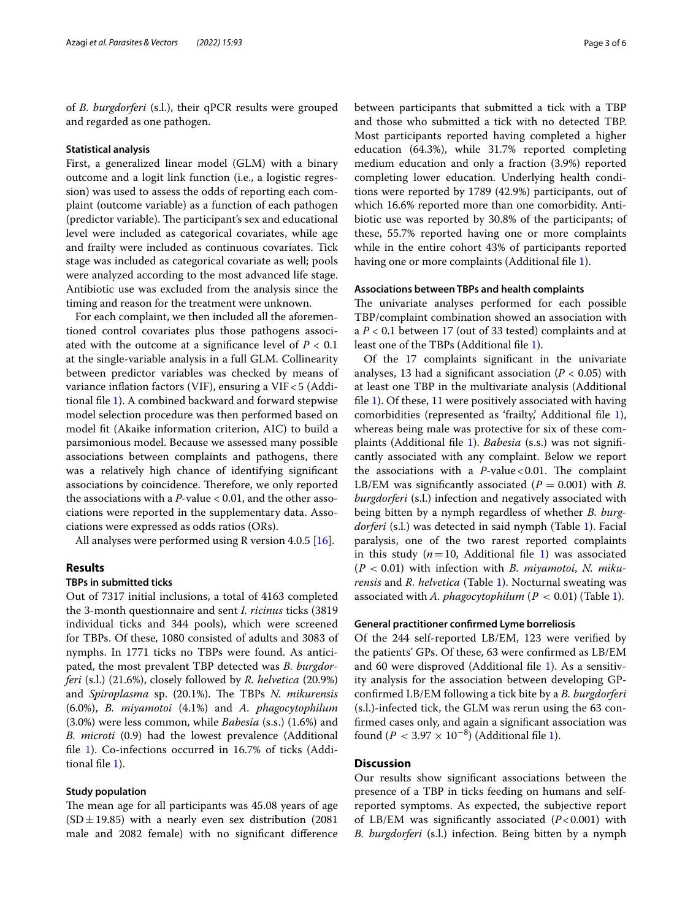of *B. burgdorferi* (s.l.), their qPCR results were grouped and regarded as one pathogen.

### **Statistical analysis**

First, a generalized linear model (GLM) with a binary outcome and a logit link function (i.e., a logistic regression) was used to assess the odds of reporting each complaint (outcome variable) as a function of each pathogen (predictor variable). The participant's sex and educational level were included as categorical covariates, while age and frailty were included as continuous covariates. Tick stage was included as categorical covariate as well; pools were analyzed according to the most advanced life stage. Antibiotic use was excluded from the analysis since the timing and reason for the treatment were unknown.

For each complaint, we then included all the aforementioned control covariates plus those pathogens associated with the outcome at a signifcance level of *P* < 0.1 at the single-variable analysis in a full GLM. Collinearity between predictor variables was checked by means of variance infation factors (VIF), ensuring a VIF<5 (Additional fle [1\)](#page-4-13). A combined backward and forward stepwise model selection procedure was then performed based on model ft (Akaike information criterion, AIC) to build a parsimonious model. Because we assessed many possible associations between complaints and pathogens, there was a relatively high chance of identifying signifcant associations by coincidence. Therefore, we only reported the associations with a *P*-value < 0.01, and the other associations were reported in the supplementary data. Associations were expressed as odds ratios (ORs).

All analyses were performed using R version 4.0.5 [\[16](#page-4-15)].

# **Results**

# **TBPs in submitted ticks**

Out of 7317 initial inclusions, a total of 4163 completed the 3-month questionnaire and sent *I. ricinus* ticks (3819 individual ticks and 344 pools), which were screened for TBPs. Of these, 1080 consisted of adults and 3083 of nymphs. In 1771 ticks no TBPs were found. As anticipated, the most prevalent TBP detected was *B. burgdorferi* (s.l.) (21.6%), closely followed by *R. helvetica* (20.9%) and *Spiroplasma* sp. (20.1%). The TBPs *N. mikurensis* (6.0%), *B. miyamotoi* (4.1%) and *A. phagocytophilum* (3.0%) were less common, while *Babesia* (s.s.) (1.6%) and *B. microti* (0.9) had the lowest prevalence (Additional file [1](#page-4-13)). Co-infections occurred in 16.7% of ticks (Additional fle [1](#page-4-13)).

# **Study population**

The mean age for all participants was 45.08 years of age  $(SD \pm 19.85)$  with a nearly even sex distribution (2081) male and 2082 female) with no signifcant diference between participants that submitted a tick with a TBP and those who submitted a tick with no detected TBP. Most participants reported having completed a higher education (64.3%), while 31.7% reported completing medium education and only a fraction (3.9%) reported completing lower education. Underlying health conditions were reported by 1789 (42.9%) participants, out of which 16.6% reported more than one comorbidity. Antibiotic use was reported by 30.8% of the participants; of these, 55.7% reported having one or more complaints while in the entire cohort 43% of participants reported having one or more complaints (Additional fle [1\)](#page-4-13).

# **Associations between TBPs and health complaints**

The univariate analyses performed for each possible TBP/complaint combination showed an association with a *P* < 0.1 between 17 (out of 33 tested) complaints and at least one of the TBPs (Additional file [1\)](#page-4-13).

Of the 17 complaints signifcant in the univariate analyses, 13 had a significant association  $(P < 0.05)$  with at least one TBP in the multivariate analysis (Additional fle [1](#page-4-13)). Of these, 11 were positively associated with having comorbidities (represented as 'frailty', Additional file [1](#page-4-13)), whereas being male was protective for six of these complaints (Additional fle [1\)](#page-4-13). *Babesia* (s.s.) was not signifcantly associated with any complaint. Below we report the associations with a  $P$ -value < 0.01. The complaint LB/EM was significantly associated  $(P = 0.001)$  with *B*. *burgdorferi* (s.l.) infection and negatively associated with being bitten by a nymph regardless of whether *B. burgdorferi* (s.l.) was detected in said nymph (Table [1\)](#page-3-0). Facial paralysis, one of the two rarest reported complaints in this study  $(n=10,$  Additional file [1\)](#page-4-13) was associated (P < 0.01) with infection with *B. miyamotoi*, *N. mikurensis* and *R. helvetica* (Table [1\)](#page-3-0). Nocturnal sweating was associated with *A. phagocytophilum* (P < 0.01) (Table [1](#page-3-0)).

### **General practitioner confrmed Lyme borreliosis**

Of the 244 self-reported LB/EM, 123 were verifed by the patients' GPs. Of these, 63 were confrmed as LB/EM and 60 were disproved (Additional fle [1\)](#page-4-13). As a sensitivity analysis for the association between developing GPconfrmed LB/EM following a tick bite by a *B. burgdorferi* (s.l.)-infected tick, the GLM was rerun using the 63 confrmed cases only, and again a signifcant association was found ( $P < 3.97 \times 10^{-8}$ ) (Additional file [1\)](#page-4-13).

# **Discussion**

Our results show signifcant associations between the presence of a TBP in ticks feeding on humans and selfreported symptoms. As expected, the subjective report of LB/EM was significantly associated  $(P<0.001)$  with *B. burgdorferi* (s.l.) infection. Being bitten by a nymph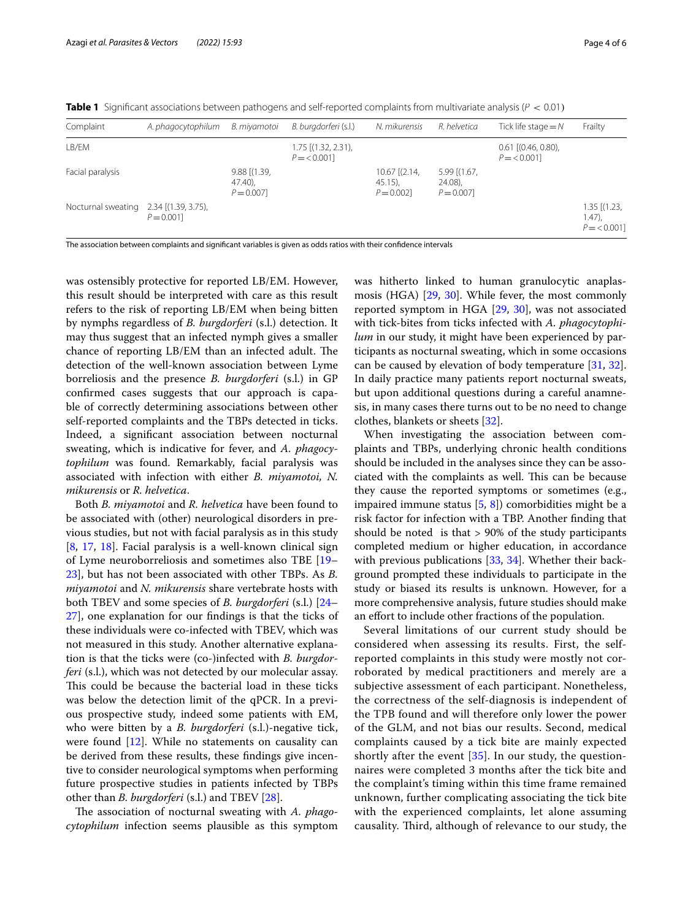<span id="page-3-0"></span>**Table 1** Significant associations between pathogens and self-reported complaints from multivariate analysis (P < 0.01)

| Complaint          | A. phagocytophilum                  | B. miyamotoi                                 | B. burgdorferi (s.l.)              | N. mikurensis                                   | R. helvetica                                | Tick life stage $=N$                      | Frailty                                        |
|--------------------|-------------------------------------|----------------------------------------------|------------------------------------|-------------------------------------------------|---------------------------------------------|-------------------------------------------|------------------------------------------------|
| LB/EM              |                                     |                                              | 1.75 [(1.32, 2.31),<br>$P = 0.001$ |                                                 |                                             | $0.61$ $[(0.46, 0.80)$ ,<br>$P = < 0.001$ |                                                |
| Facial paralysis   |                                     | $9.88$ $(1.39,$<br>$47.40$ ),<br>$P = 0.007$ |                                    | $10.67$ $[(2.14,$<br>$45.15$ ),<br>$P = 0.0021$ | $5.99$ (1.67,<br>$24.08$ ),<br>$P = 0.0071$ |                                           |                                                |
| Nocturnal sweating | 2.34 [(1.39, 3.75),<br>$P = 0.0011$ |                                              |                                    |                                                 |                                             |                                           | $1.35$ $[(1.23,$<br>$1.47$ ).<br>$P = < 0.001$ |

The association between complaints and signifcant variables is given as odds ratios with their confdence intervals

was ostensibly protective for reported LB/EM. However, this result should be interpreted with care as this result refers to the risk of reporting LB/EM when being bitten by nymphs regardless of *B. burgdorferi* (s.l.) detection. It may thus suggest that an infected nymph gives a smaller chance of reporting LB/EM than an infected adult. The detection of the well-known association between Lyme borreliosis and the presence *B. burgdorferi* (s.l.) in GP confrmed cases suggests that our approach is capable of correctly determining associations between other self-reported complaints and the TBPs detected in ticks. Indeed, a signifcant association between nocturnal sweating, which is indicative for fever, and *A. phagocytophilum* was found. Remarkably, facial paralysis was associated with infection with either *B. miyamotoi, N. mikurensis* or *R. helvetica*.

Both *B. miyamotoi* and *R. helvetica* have been found to be associated with (other) neurological disorders in previous studies, but not with facial paralysis as in this study [[8,](#page-4-7) [17](#page-5-0), [18](#page-5-1)]. Facial paralysis is a well-known clinical sign of Lyme neuroborreliosis and sometimes also TBE [[19–](#page-5-2) [23\]](#page-5-3), but has not been associated with other TBPs. As *B. miyamotoi* and *N. mikurensis* share vertebrate hosts with both TBEV and some species of *B. burgdorferi* (s.l.) [[24–](#page-5-4) [27\]](#page-5-5), one explanation for our fndings is that the ticks of these individuals were co-infected with TBEV, which was not measured in this study. Another alternative explanation is that the ticks were (co-)infected with *B. burgdorferi* (s.l.), which was not detected by our molecular assay. This could be because the bacterial load in these ticks was below the detection limit of the qPCR. In a previous prospective study, indeed some patients with EM, who were bitten by a *B. burgdorferi* (s.l.)-negative tick, were found [\[12](#page-4-9)]. While no statements on causality can be derived from these results, these fndings give incentive to consider neurological symptoms when performing future prospective studies in patients infected by TBPs other than *B. burgdorferi* (s.l.) and TBEV [[28\]](#page-5-6).

The association of nocturnal sweating with *A. phagocytophilum* infection seems plausible as this symptom was hitherto linked to human granulocytic anaplasmosis (HGA) [[29,](#page-5-7) [30](#page-5-8)]. While fever, the most commonly reported symptom in HGA [[29,](#page-5-7) [30](#page-5-8)], was not associated with tick-bites from ticks infected with *A. phagocytophilum* in our study, it might have been experienced by participants as nocturnal sweating, which in some occasions can be caused by elevation of body temperature [\[31](#page-5-9), [32](#page-5-10)]. In daily practice many patients report nocturnal sweats, but upon additional questions during a careful anamnesis, in many cases there turns out to be no need to change clothes, blankets or sheets [\[32\]](#page-5-10).

When investigating the association between complaints and TBPs, underlying chronic health conditions should be included in the analyses since they can be associated with the complaints as well. This can be because they cause the reported symptoms or sometimes (e.g., impaired immune status [\[5](#page-4-4), [8](#page-4-7)]) comorbidities might be a risk factor for infection with a TBP. Another fnding that should be noted is that > 90% of the study participants completed medium or higher education, in accordance with previous publications [[33](#page-5-11), [34\]](#page-5-12). Whether their background prompted these individuals to participate in the study or biased its results is unknown. However, for a more comprehensive analysis, future studies should make an effort to include other fractions of the population.

Several limitations of our current study should be considered when assessing its results. First, the selfreported complaints in this study were mostly not corroborated by medical practitioners and merely are a subjective assessment of each participant. Nonetheless, the correctness of the self-diagnosis is independent of the TPB found and will therefore only lower the power of the GLM, and not bias our results. Second, medical complaints caused by a tick bite are mainly expected shortly after the event [[35\]](#page-5-13). In our study, the questionnaires were completed 3 months after the tick bite and the complaint's timing within this time frame remained unknown, further complicating associating the tick bite with the experienced complaints, let alone assuming causality. Third, although of relevance to our study, the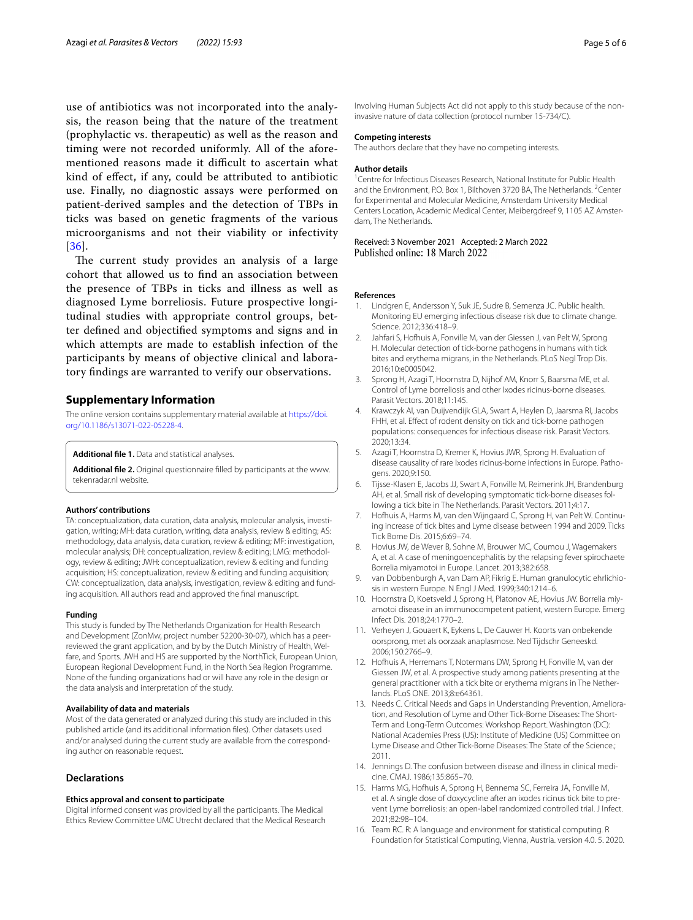use of antibiotics was not incorporated into the analysis, the reason being that the nature of the treatment (prophylactic vs. therapeutic) as well as the reason and timing were not recorded uniformly. All of the aforementioned reasons made it difficult to ascertain what kind of efect, if any, could be attributed to antibiotic use. Finally, no diagnostic assays were performed on patient-derived samples and the detection of TBPs in ticks was based on genetic fragments of the various microorganisms and not their viability or infectivity [[36](#page-5-14)].

The current study provides an analysis of a large cohort that allowed us to fnd an association between the presence of TBPs in ticks and illness as well as diagnosed Lyme borreliosis. Future prospective longitudinal studies with appropriate control groups, better defned and objectifed symptoms and signs and in which attempts are made to establish infection of the participants by means of objective clinical and laboratory fndings are warranted to verify our observations.

# **Supplementary Information**

The online version contains supplementary material available at [https://doi.](https://doi.org/10.1186/s13071-022-05228-4) [org/10.1186/s13071-022-05228-4](https://doi.org/10.1186/s13071-022-05228-4).

<span id="page-4-13"></span><span id="page-4-12"></span>**Additional fle 1.** Data and statistical analyses.

**Additional fle 2.** Original questionnaire flled by participants at the www. tekenradar.nl website.

#### **Authors' contributions**

TA: conceptualization, data curation, data analysis, molecular analysis, investigation, writing; MH: data curation, writing, data analysis, review & editing; AS: methodology, data analysis, data curation, review & editing; MF: investigation, molecular analysis; DH: conceptualization, review & editing; LMG: methodology, review & editing; JWH: conceptualization, review & editing and funding acquisition; HS: conceptualization, review & editing and funding acquisition; CW: conceptualization, data analysis, investigation, review & editing and funding acquisition. All authors read and approved the fnal manuscript.

#### **Funding**

This study is funded by The Netherlands Organization for Health Research and Development (ZonMw, project number 52200-30-07), which has a peerreviewed the grant application, and by by the Dutch Ministry of Health, Welfare, and Sports. JWH and HS are supported by the NorthTick, European Union, European Regional Development Fund, in the North Sea Region Programme. None of the funding organizations had or will have any role in the design or the data analysis and interpretation of the study.

# **Availability of data and materials**

Most of the data generated or analyzed during this study are included in this published article (and its additional information fles). Other datasets used and/or analysed during the current study are available from the corresponding author on reasonable request.

#### **Declarations**

#### **Ethics approval and consent to participate**

Digital informed consent was provided by all the participants. The Medical Ethics Review Committee UMC Utrecht declared that the Medical Research Involving Human Subjects Act did not apply to this study because of the noninvasive nature of data collection (protocol number 15-734/C).

#### **Competing interests**

The authors declare that they have no competing interests.

#### **Author details**

<sup>1</sup> Centre for Infectious Diseases Research, National Institute for Public Health and the Environment, P.O. Box 1, Bilthoven 3720 BA, The Netherlands. <sup>2</sup>Center for Experimental and Molecular Medicine, Amsterdam University Medical Centers Location, Academic Medical Center, Meibergdreef 9, 1105 AZ Amster‑ dam, The Netherlands.

# Received: 3 November 2021 Accepted: 2 March 2022

#### **References**

- <span id="page-4-0"></span>1. Lindgren E, Andersson Y, Suk JE, Sudre B, Semenza JC. Public health. Monitoring EU emerging infectious disease risk due to climate change. Science. 2012;336:418–9.
- <span id="page-4-1"></span>2. Jahfari S, Hofhuis A, Fonville M, van der Giessen J, van Pelt W, Sprong H. Molecular detection of tick-borne pathogens in humans with tick bites and erythema migrans, in the Netherlands. PLoS Negl Trop Dis. 2016;10:e0005042.
- <span id="page-4-2"></span>3. Sprong H, Azagi T, Hoornstra D, Nijhof AM, Knorr S, Baarsma ME, et al. Control of Lyme borreliosis and other Ixodes ricinus-borne diseases. Parasit Vectors. 2018;11:145.
- <span id="page-4-3"></span>4. Krawczyk AI, van Duijvendijk GLA, Swart A, Heylen D, Jaarsma RI, Jacobs FHH, et al. Effect of rodent density on tick and tick-borne pathogen populations: consequences for infectious disease risk. Parasit Vectors. 2020;13:34.
- <span id="page-4-4"></span>5. Azagi T, Hoornstra D, Kremer K, Hovius JWR, Sprong H. Evaluation of disease causality of rare Ixodes ricinus-borne infections in Europe. Pathogens. 2020;9:150.
- <span id="page-4-5"></span>6. Tijsse-Klasen E, Jacobs JJ, Swart A, Fonville M, Reimerink JH, Brandenburg AH, et al. Small risk of developing symptomatic tick-borne diseases following a tick bite in The Netherlands. Parasit Vectors. 2011;4:17.
- <span id="page-4-6"></span>7. Hofhuis A, Harms M, van den Wijngaard C, Sprong H, van Pelt W. Continuing increase of tick bites and Lyme disease between 1994 and 2009. Ticks Tick Borne Dis. 2015;6:69–74.
- <span id="page-4-7"></span>8. Hovius JW, de Wever B, Sohne M, Brouwer MC, Coumou J, Wagemakers A, et al. A case of meningoencephalitis by the relapsing fever spirochaete Borrelia miyamotoi in Europe. Lancet. 2013;382:658.
- 9. van Dobbenburgh A, van Dam AP, Fikrig E. Human granulocytic ehrlichiosis in western Europe. N Engl J Med. 1999;340:1214–6.
- 10. Hoornstra D, Koetsveld J, Sprong H, Platonov AE, Hovius JW. Borrelia miyamotoi disease in an immunocompetent patient, western Europe. Emerg Infect Dis. 2018;24:1770–2.
- <span id="page-4-8"></span>11. Verheyen J, Gouaert K, Eykens L, De Cauwer H. Koorts van onbekende oorsprong, met als oorzaak anaplasmose. Ned Tijdschr Geneeskd. 2006;150:2766–9.
- <span id="page-4-9"></span>12. Hofhuis A, Herremans T, Notermans DW, Sprong H, Fonville M, van der Giessen JW, et al. A prospective study among patients presenting at the general practitioner with a tick bite or erythema migrans in The Netherlands. PLoS ONE. 2013;8:e64361.
- <span id="page-4-10"></span>13. Needs C. Critical Needs and Gaps in Understanding Prevention, Amelioration, and Resolution of Lyme and Other Tick-Borne Diseases: The Short-Term and Long-Term Outcomes: Workshop Report. Washington (DC): National Academies Press (US): Institute of Medicine (US) Committee on Lyme Disease and Other Tick-Borne Diseases: The State of the Science.; 2011.
- <span id="page-4-11"></span>14. Jennings D. The confusion between disease and illness in clinical medicine. CMAJ. 1986;135:865–70.
- <span id="page-4-14"></span>15. Harms MG, Hofhuis A, Sprong H, Bennema SC, Ferreira JA, Fonville M, et al. A single dose of doxycycline after an ixodes ricinus tick bite to pre‑ vent Lyme borreliosis: an open-label randomized controlled trial. J Infect. 2021;82:98–104.
- <span id="page-4-15"></span>16. Team RC. R: A language and environment for statistical computing. R Foundation for Statistical Computing, Vienna, Austria. version 4.0. 5. 2020.